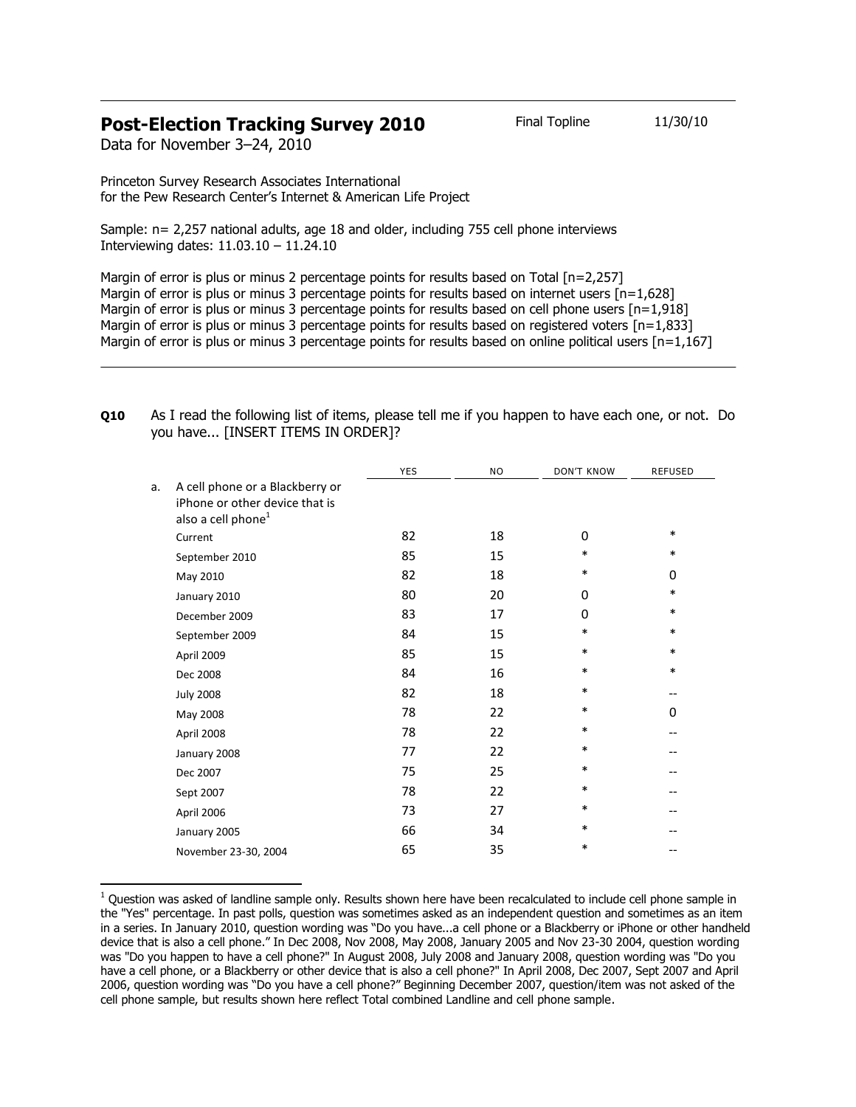## **Post-Election Tracking Survey 2010** Final Topline 11/30/10

Data for November 3–24, 2010

l

Princeton Survey Research Associates International for the Pew Research Center's Internet & American Life Project

Sample: n= 2,257 national adults, age 18 and older, including 755 cell phone interviews Interviewing dates: 11.03.10 – 11.24.10

Margin of error is plus or minus 2 percentage points for results based on Total [n=2,257] Margin of error is plus or minus 3 percentage points for results based on internet users  $[n=1,628]$ Margin of error is plus or minus 3 percentage points for results based on cell phone users  $[n=1.918]$ Margin of error is plus or minus 3 percentage points for results based on registered voters [n=1,833] Margin of error is plus or minus 3 percentage points for results based on online political users [n=1,167]

## **Q10** As I read the following list of items, please tell me if you happen to have each one, or not. Do you have... [INSERT ITEMS IN ORDER]?

|    |                                 | YES | <b>NO</b> | <b>DON'T KNOW</b> | <b>REFUSED</b> |
|----|---------------------------------|-----|-----------|-------------------|----------------|
| a. | A cell phone or a Blackberry or |     |           |                   |                |
|    | iPhone or other device that is  |     |           |                   |                |
|    | also a cell phone <sup>1</sup>  |     |           |                   |                |
|    | Current                         | 82  | 18        | 0                 | $\ast$         |
|    | September 2010                  | 85  | 15        | $\ast$            | $\ast$         |
|    | May 2010                        | 82  | 18        | $\ast$            | 0              |
|    | January 2010                    | 80  | 20        | $\Omega$          | $\ast$         |
|    | December 2009                   | 83  | 17        | 0                 | $\ast$         |
|    | September 2009                  | 84  | 15        | $\ast$            | $\ast$         |
|    | April 2009                      | 85  | 15        | $\ast$            | $\ast$         |
|    | Dec 2008                        | 84  | 16        | $\ast$            | $\ast$         |
|    | <b>July 2008</b>                | 82  | 18        | $\ast$            | --             |
|    | May 2008                        | 78  | 22        | *                 | 0              |
|    | April 2008                      | 78  | 22        | *                 | --             |
|    | January 2008                    | 77  | 22        | *                 | --             |
|    | Dec 2007                        | 75  | 25        | $\ast$            |                |
|    | Sept 2007                       | 78  | 22        | $\ast$            |                |
|    | April 2006                      | 73  | 27        | $\ast$            |                |
|    | January 2005                    | 66  | 34        | $\ast$            |                |
|    | November 23-30, 2004            | 65  | 35        | *                 |                |

 $1$  Question was asked of landline sample only. Results shown here have been recalculated to include cell phone sample in the "Yes" percentage. In past polls, question was sometimes asked as an independent question and sometimes as an item in a series. In January 2010, question wording was "Do you have...a cell phone or a Blackberry or iPhone or other handheld device that is also a cell phone." In Dec 2008, Nov 2008, May 2008, January 2005 and Nov 23-30 2004, question wording was "Do you happen to have a cell phone?" In August 2008, July 2008 and January 2008, question wording was "Do you have a cell phone, or a Blackberry or other device that is also a cell phone?" In April 2008, Dec 2007, Sept 2007 and April 2006, question wording was "Do you have a cell phone?" Beginning December 2007, question/item was not asked of the cell phone sample, but results shown here reflect Total combined Landline and cell phone sample.